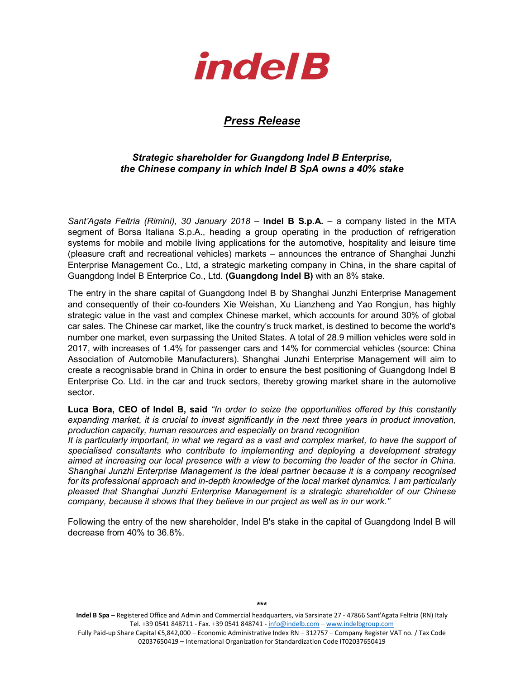

## Press Release

## Strategic shareholder for Guangdong Indel B Enterprise, the Chinese company in which Indel B SpA owns a 40% stake

Sant'Agata Feltria (Rimini), 30 January 2018 – Indel B S.p.A. – a company listed in the MTA segment of Borsa Italiana S.p.A., heading a group operating in the production of refrigeration systems for mobile and mobile living applications for the automotive, hospitality and leisure time (pleasure craft and recreational vehicles) markets – announces the entrance of Shanghai Junzhi Enterprise Management Co., Ltd, a strategic marketing company in China, in the share capital of Guangdong Indel B Enterprice Co., Ltd. (Guangdong Indel B) with an 8% stake.

The entry in the share capital of Guangdong Indel B by Shanghai Junzhi Enterprise Management and consequently of their co-founders Xie Weishan, Xu Lianzheng and Yao Rongjun, has highly strategic value in the vast and complex Chinese market, which accounts for around 30% of global car sales. The Chinese car market, like the country's truck market, is destined to become the world's number one market, even surpassing the United States. A total of 28.9 million vehicles were sold in 2017, with increases of 1.4% for passenger cars and 14% for commercial vehicles (source: China Association of Automobile Manufacturers). Shanghai Junzhi Enterprise Management will aim to create a recognisable brand in China in order to ensure the best positioning of Guangdong Indel B Enterprise Co. Ltd. in the car and truck sectors, thereby growing market share in the automotive sector.

Luca Bora, CEO of Indel B, said "In order to seize the opportunities offered by this constantly expanding market, it is crucial to invest significantly in the next three years in product innovation, production capacity, human resources and especially on brand recognition

It is particularly important, in what we regard as a vast and complex market, to have the support of specialised consultants who contribute to implementing and deploying a development strategy aimed at increasing our local presence with a view to becoming the leader of the sector in China. Shanghai Junzhi Enterprise Management is the ideal partner because it is a company recognised for its professional approach and in-depth knowledge of the local market dynamics. I am particularly pleased that Shanghai Junzhi Enterprise Management is a strategic shareholder of our Chinese company, because it shows that they believe in our project as well as in our work."

Following the entry of the new shareholder, Indel B's stake in the capital of Guangdong Indel B will decrease from 40% to 36.8%.

Indel B Spa - Registered Office and Admin and Commercial headquarters, via Sarsinate 27 - 47866 Sant'Agata Feltria (RN) Italy Tel. +39 0541 848711 - Fax. +39 0541 848741 - info@indelb.com – www.indelbgroup.com Fully Paid-up Share Capital €5,842,000 – Economic Administrative Index RN – 312757 – Company Register VAT no. / Tax Code 02037650419 – International Organization for Standardization Code IT02037650419